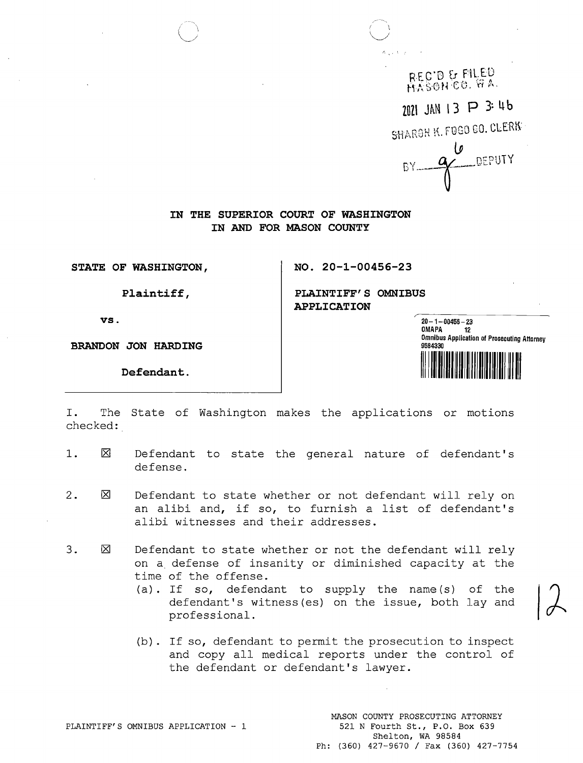REC'D & FILED HASON CO. WA. 2021 JAN 13 P 3:46 SHARON K. FOGO GO. CLERK **g** DEPUTY

**IN THE SUPERIOR COURT OF WASHINGTON IN AND FOR MASON COUNTY** 

**STATE OF WASHINGTON, NO. 20-1-00456-23** 

**Plaintiff,** 

**vs.** 

**BRANDON JON HARDING** 

**PLAINTIFF'S OMNIBUS APPLICATION** 

**20-1-00456-23**  OMAPA 12<br>Omnibus Application of Prosecuting Attorney **9584330 Defendant.** II I **IIIIII II llllllll II IIIII** IIII II IIll **Ill** 

I. The State of Washington makes the applications or motions checked:

- 1.  $\boxtimes$ Defendant to state the general nature of defendant's defense.
- 2.  $\boxtimes$ Defendant to state whether or not defendant will rely on an alibi and, if so, to furnish a list of defendant's alibi witnesses and their addresses.
- 3.  $\boxtimes$ Defendant to state whether or not the defendant will rely on a defense of insanity or diminished capacity at the time of the offense.
	- (a). If so, defendant to supply the name(s) of the defendant's witness(es) on the issue, both lay and professional.
	- (b) . If so, defendant to permit the prosecution to inspect and copy all medical reports under the control of the defendant or defendant's lawyer.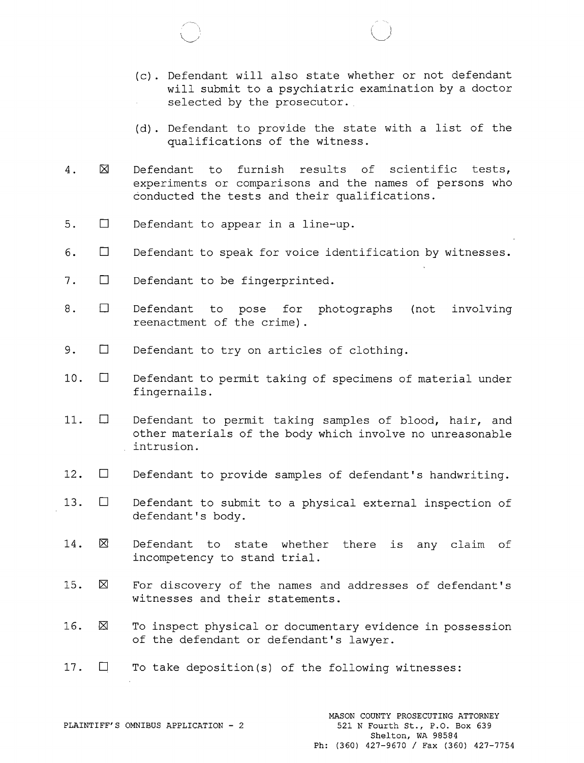- (c). Defendant will also state whether or not defendant will submit to a psychiatric examination by a doctor selected by the prosecutor.
- (d). Defendant to provide the state with a list of the qualifications of the witness.
- 4.  $\boxtimes$ Defendant to furnish results of scientific tests, experiments or comparisons and the names of persons who conducted the tests and their qualifications.
- 5. □ Defendant to appear in a line-up.
- 6. □ Defendant to speak for voice identification by witnesses.
- 7. □ Defendant to be fingerprinted.
- $8. \square$ Defendant to pose for photographs reenactment of the crime). involving
- 9. □ Defendant to try on articles of clothing.
- 10. □ Defendant to permit taking of specimens of material under fingernails.
- 11. □ Defendant to permit taking samples of blood, hair, and other materials of the body which involve no unreasonable intrusion.
- 12. □ Defendant to provide samples of defendant's handwriting.
- 13. □ Defendant to submit to a physical external inspection of defendant's body.
- 14.  $\boxtimes$ Defendant to state whether there is any claim of incompetency to stand trial.
- $15. \quad \boxtimes$ For discovery of the names and addresses of defendant's witnesses and their statements.
- $16.$   $\boxtimes$ To inspect physical or documentary evidence in possession of the defendant or defendant's lawyer.
- 17. □ To take deposition(s) of the following witnesses: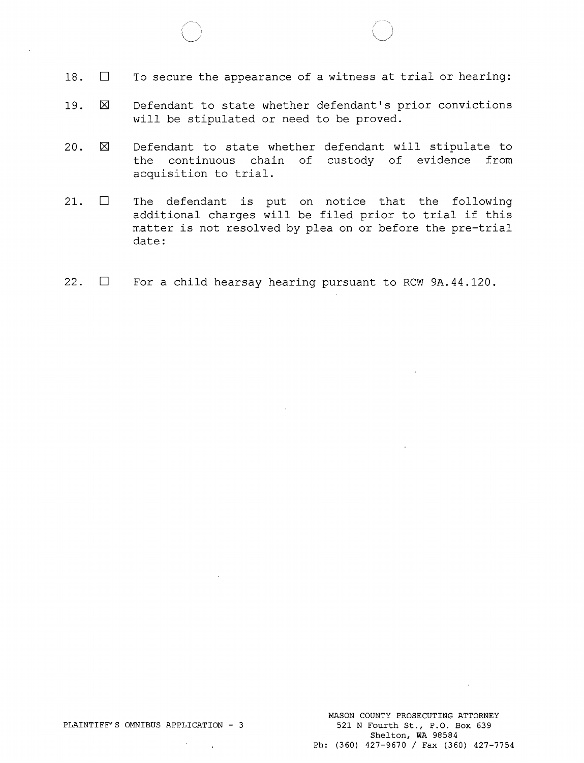- 18. □ To secure the appearance of a witness at trial or hearing:
- $19. \quad \boxtimes$ Defendant to state whether defendant's prior convictions will be stipulated or need to be proved.
- 20.  $\boxtimes$ Defendant to state whether defendant will stipulate to the continuous chain of custody of evidence from acquisition to trial.
- 21. □ The defendant is put on notice that the following additional charges will be filed prior to trial if this matter is not resolved by plea on or before the pre-trial date:
- 22. □ For a child hearsay hearing pursuant to RCW 9A.44.120.

 $\mathbf{r}$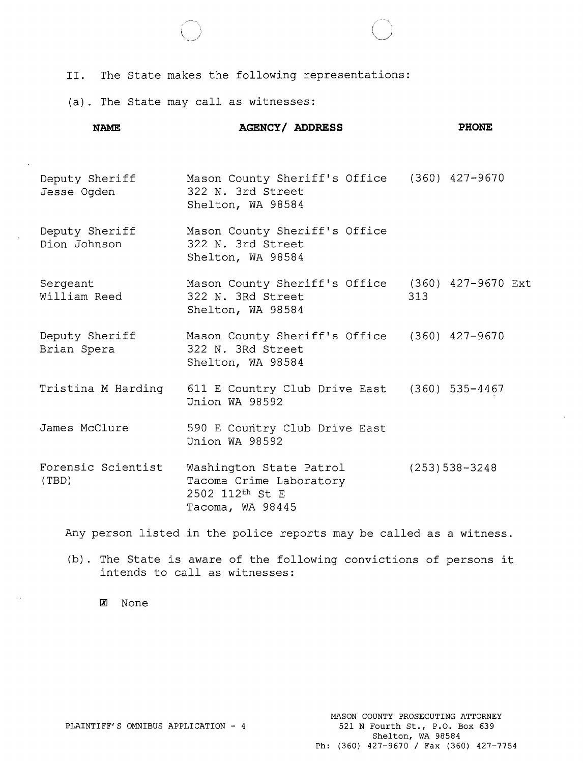II. The State makes the following representations:

(a). The State may call as witnesses:

| <b>NAME</b>                    | <b>AGENCY/ ADDRESS</b>                                                                     | <b>PHONE</b>     |
|--------------------------------|--------------------------------------------------------------------------------------------|------------------|
| Deputy Sheriff<br>Jesse Oqden  | Mason County Sheriff's Office (360) 427-9670<br>322 N. 3rd Street<br>Shelton, WA 98584     |                  |
| Deputy Sheriff<br>Dion Johnson | Mason County Sheriff's Office<br>322 N. 3rd Street<br>Shelton, WA 98584                    |                  |
| Sergeant<br>William Reed       | Mason County Sheriff's Office (360) 427-9670 Ext<br>322 N. 3Rd Street<br>Shelton, WA 98584 | 313              |
| Deputy Sheriff<br>Brian Spera  | Mason County Sheriff's Office (360) 427-9670<br>322 N. 3Rd Street<br>Shelton, WA 98584     |                  |
| Tristina M Harding             | 611 E Country Club Drive East (360) 535-4467<br>Union WA 98592                             |                  |
| James McClure                  | 590 E Country Club Drive East<br>Union WA 98592                                            |                  |
| Forensic Scientist<br>(TBD)    | Washington State Patrol<br>Tacoma Crime Laboratory<br>2502 112th St E<br>Tacoma, WA 98445  | $(253)$ 538-3248 |

Any person listed in the police reports may be called as a witness.

(b). The State is aware of the following convictions of persons it intends to call as witnesses:

IX! None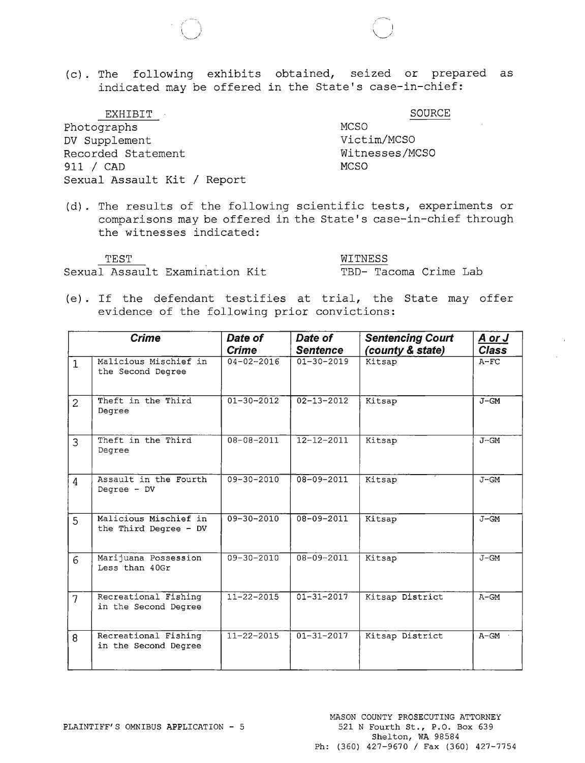(c). The following exhibits obtained, seized or prepared as indicated may be offered in the State's case-in-chief:

EXHIBIT Photographs DV Supplement Recorded Statement 911 / CAD Sexual Assault **Kit/** Report

 $\epsilon \rightarrow$  $\bigcup$ 

> MCSO Victim/MCSO Witnesses/MCSO **MCSO**

SOURCE

 $\overbrace{\phantom{aaaaa}}^{\phantom{aaaa}}$ 

(d). The results of the following scientific tests, experiments or comparisons may be offered in the State's case-in-chief through the witnesses indicated:

Sexual Assault Examination Kit TBD- Tacoma Crime Lab

TEST WITNESS

(e). If the defendant testifies at trial, the State may offer evidence of the following prior convictions:

|                | <b>Crime</b>                                   | Date of<br><b>Crime</b> | Date of<br><b>Sentence</b> | <b>Sentencing Court</b><br>(county & state) | <u>A or J</u><br><b>Class</b> |
|----------------|------------------------------------------------|-------------------------|----------------------------|---------------------------------------------|-------------------------------|
| $\mathbf{1}$   | Malicious Mischief in<br>the Second Degree     | $04 - 02 - 2016$        | $01 - 30 - 2019$           | Kitsap                                      | $A-FC$                        |
| $\overline{2}$ | Theft in the Third<br>Degree                   | $01 - 30 - 2012$        | $02 - 13 - 2012$           | Kitsap                                      | $J - GM$                      |
| 3              | Theft in the Third<br>Degree                   | $08 - 08 - 2011$        | $12 - 12 - 2011$           | Kitsap                                      | $J-GM$                        |
| $\overline{4}$ | Assault in the Fourth<br>Degree $- DV$         | $09 - 30 - 2010$        | $08 - 09 - 2011$           | Kitsap                                      | $J - GM$                      |
| 5              | Malicious Mischief in<br>the Third Degree - DV | $09 - 30 - 2010$        | $08 - 09 - 2011$           | Kitsap                                      | $J - GM$                      |
| 6              | Marijuana Possession<br>Less than 40Gr         | $09 - 30 - 2010$        | $08 - 09 - 2011$           | Kitsap                                      | $J - GM$                      |
| $\overline{7}$ | Recreational Fishing<br>in the Second Degree   | $11 - 22 - 2015$        | $01 - 31 - 2017$           | Kitsap District                             | $A-GM$                        |
| 8              | Recreational Fishing<br>in the Second Degree   | $11 - 22 - 2015$        | $01 - 31 - 2017$           | Kitsap District                             | $A - GM$                      |